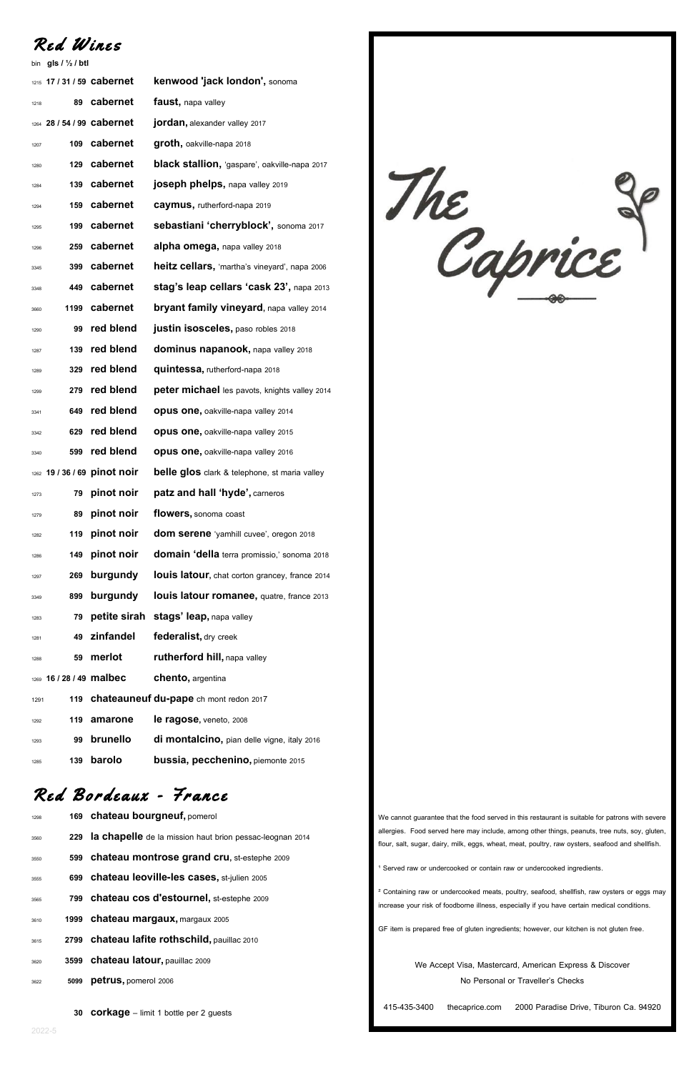Red Wines

bin **gls / ½ /btl**

|      | 1215 17 / 31 / 59 cabernet |                              | kenwood 'jack london', sonoma                   |
|------|----------------------------|------------------------------|-------------------------------------------------|
| 1218 | 89                         | cabernet                     | faust, napa valley                              |
|      | 1264 28 / 54 / 99 cabernet |                              | jordan, alexander valley 2017                   |
| 1207 | 109                        | cabernet                     | groth, oakville-napa 2018                       |
| 1280 | 129                        | cabernet                     | black stallion, 'gaspare', oakville-napa 2017   |
| 1284 | 139                        | cabernet                     | joseph phelps, napa valley 2019                 |
| 1294 | 159                        | cabernet                     | caymus, rutherford-napa 2019                    |
| 1295 | 199                        | cabernet                     | sebastiani 'cherryblock', sonoma 2017           |
| 1296 | 259                        | cabernet                     | alpha omega, napa valley 2018                   |
| 3345 | 399                        | cabernet                     | heitz cellars, 'martha's vineyard', napa 2006   |
| 3348 | 449                        | cabernet                     | stag's leap cellars 'cask 23', napa 2013        |
| 3660 | 1199                       | cabernet                     | <b>bryant family vineyard, napa valley 2014</b> |
| 1290 | 99                         | red blend                    | justin isosceles, paso robles 2018              |
| 1287 | 139                        | red blend                    | dominus napanook, napa valley 2018              |
| 1289 | 329                        | red blend                    | quintessa, rutherford-napa 2018                 |
| 1299 | 279                        | red blend                    | peter michael les pavots, knights valley 2014   |
| 3341 | 649                        | red blend                    | opus one, oakville-napa valley 2014             |
| 3342 | 629                        | red blend                    | <b>opus one, oakville-napa valley 2015</b>      |
| 3340 | 599                        | red blend                    | <b>opus one, oakville-napa valley 2016</b>      |
|      |                            | 1262 19 / 36 / 69 pinot noir | belle glos clark & telephone, st maria valley   |
| 1273 | 79                         | pinot noir                   | patz and hall 'hyde', carneros                  |
| 1279 | 89                         | pinot noir                   | flowers, sonoma coast                           |
| 1282 | 119                        | pinot noir                   | dom serene 'yamhill cuvee', oregon 2018         |
| 1286 | 149                        | pinot noir                   | domain 'della terra promissio,' sonoma 2018     |
| 1297 | 269                        | burgundy                     | louis latour, chat corton grancey, france 2014  |
| 3349 | 899                        | burgundy                     | louis latour romanee, quatre, france 2013       |
| 1283 | 79                         | petite sirah                 | stags' leap, napa valley                        |
| 1281 | 49                         | zinfandel                    | federalist, dry creek                           |
| 1288 | 59                         | merlot                       | rutherford hill, napa valley                    |
| 1269 | 16 / 28 / 49 malbec        |                              | <b>chento</b> , argentina                       |
| 1291 | 119                        |                              | chateauneuf du-pape ch mont redon 2017          |
| 1292 | 119                        | amarone                      | le ragose, veneto, 2008                         |
| 1293 | 99                         | brunello                     | di montalcino, pian delle vigne, italy 2016     |
| 1285 | 139                        | barolo                       | <b>bussia, pecchenino, piemonte 2015</b>        |
|      |                            |                              |                                                 |

The caprice

#### Red Bordeaux - France

- **169 chateau bourgneuf,**pomerol
- **229 la chapelle**de la mission haut brion pessac-leognan <sup>2014</sup>
- **599 chateau montrose grand cru,** st-estephe <sup>2009</sup>
- **699 chateau leoville-les cases,**st-julien <sup>2005</sup>
- **799 chateau cos d'estournel,** st-estephe <sup>2009</sup>
- **1999 chateau margaux,**margaux <sup>2005</sup>
- **2799 chateau lafite rothschild,**pauillac <sup>2010</sup>
- **3599 chateau latour,**pauillac <sup>2009</sup>
- **<sup>5099</sup> petrus,**pomerol <sup>2006</sup>

**corkage** – limit 1 bottle per 2 guests

2022-5

We cannot guarantee that the food served in this restaurant is suitable for patrons with severe allergies. Food served here may include, among other things, peanuts, tree nuts, soy, gluten, flour, salt, sugar, dairy, milk, eggs, wheat, meat, poultry, raw oysters, seafood and shellfish.

<sup>1</sup> Served raw or undercooked or contain raw or undercooked ingredients.

² Containing raw or undercooked meats, poultry, seafood, shellfish, raw oysters or eggs may increase your risk of foodborne illness, especially if you have certain medical conditions.

GF item is prepared free of gluten ingredients; however, our kitchen is not gluten free.

We Accept Visa, Mastercard, American Express & Discover No Personal or Traveller's Checks

415-435-3400 [thecaprice.com](http://www.thecaprice.com/) 2000 Paradise Drive, Tiburon Ca. 94920